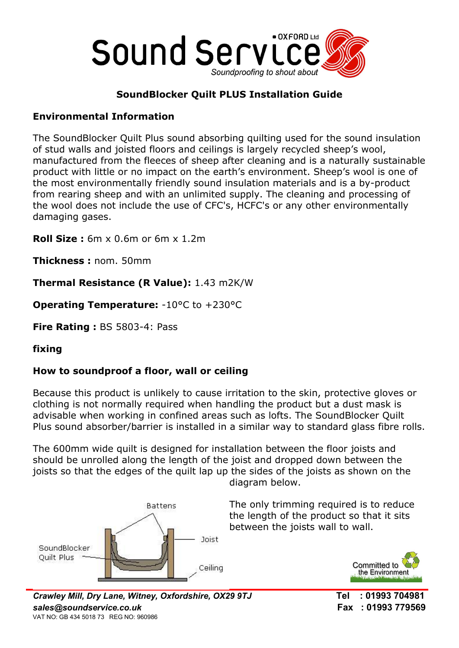

## SoundBlocker Quilt PLUS Installation Guide

## Environmental Information

The SoundBlocker Quilt Plus sound absorbing quilting used for the sound insulation of stud walls and joisted floors and ceilings is largely recycled sheep's wool, manufactured from the fleeces of sheep after cleaning and is a naturally sustainable product with little or no impact on the earth's environment. Sheep's wool is one of the most environmentally friendly sound insulation materials and is a by-product from rearing sheep and with an unlimited supply. The cleaning and processing of the wool does not include the use of CFC's, HCFC's or any other environmentally damaging gases.

Roll Size : 6m x 0.6m or 6m x 1.2m

Thickness : nom. 50mm

Thermal Resistance (R Value): 1.43 m2K/W

Operating Temperature: -10°C to +230°C

Fire Rating: BS 5803-4: Pass

## fixing

## How to soundproof a floor, wall or ceiling

Because this product is unlikely to cause irritation to the skin, protective gloves or clothing is not normally required when handling the product but a dust mask is advisable when working in confined areas such as lofts. The SoundBlocker Quilt Plus sound absorber/barrier is installed in a similar way to standard glass fibre rolls.

The 600mm wide quilt is designed for installation between the floor joists and should be unrolled along the length of the joist and dropped down between the joists so that the edges of the quilt lap up the sides of the joists as shown on the diagram below.



The only trimming required is to reduce the length of the product so that it sits between the joists wall to wall.



*Crawley Mill, Dry Lane, Witney, Oxfordshire, OX29 9TJ* Tel : 01993 704981 *sales@soundservice.co.uk* Fax : 01993 779569 VAT NO: GB 434 5018 73 REG NO: 960986